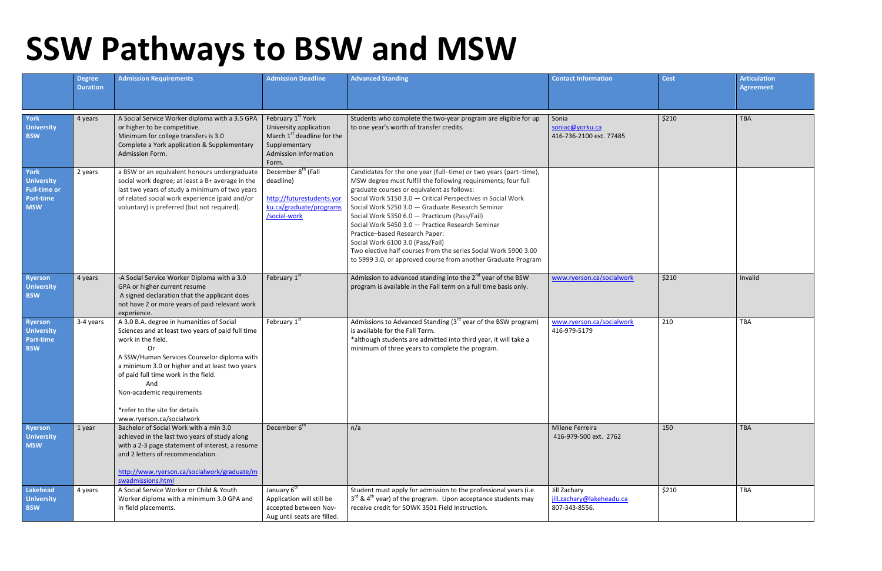## **SSW Pathways to BSW and MSW**

|                                                                                    | <b>Degree</b><br><b>Duration</b> | <b>Admission Requirements</b>                                                                                                                                                                                                                                                                                                                                                 | <b>Admission Deadline</b>                                                                                                                         | <b>Advanced Standing</b>                                                                                                                                                                                                                                                                                                                                                                                                                                                                                                                                                                                          | <b>Contact Information</b>                                 | <b>Cost</b> | <b>Articulation</b><br><b>Agreement</b> |
|------------------------------------------------------------------------------------|----------------------------------|-------------------------------------------------------------------------------------------------------------------------------------------------------------------------------------------------------------------------------------------------------------------------------------------------------------------------------------------------------------------------------|---------------------------------------------------------------------------------------------------------------------------------------------------|-------------------------------------------------------------------------------------------------------------------------------------------------------------------------------------------------------------------------------------------------------------------------------------------------------------------------------------------------------------------------------------------------------------------------------------------------------------------------------------------------------------------------------------------------------------------------------------------------------------------|------------------------------------------------------------|-------------|-----------------------------------------|
| <b>York</b><br><b>University</b><br><b>BSW</b>                                     | 4 years                          | A Social Service Worker diploma with a 3.5 GPA<br>or higher to be competitive.<br>Minimum for college transfers is 3.0<br>Complete a York application & Supplementary<br>Admission Form.                                                                                                                                                                                      | February 1 <sup>st</sup> York<br>University application<br>March $1st$ deadline for the<br>Supplementary<br><b>Admission Information</b><br>Form. | Students who complete the two-year program are eligible for up<br>to one year's worth of transfer credits.                                                                                                                                                                                                                                                                                                                                                                                                                                                                                                        | Sonia<br>soniac@yorku.ca<br>416-736-2100 ext. 77485        | \$210       | <b>TBA</b>                              |
| <b>York</b><br><b>University</b><br><b>Full-time or</b><br>Part-time<br><b>MSW</b> | 2 years                          | a BSW or an equivalent honours undergraduate<br>social work degree; at least a B+ average in the<br>last two years of study a minimum of two years<br>of related social work experience (paid and/or<br>voluntary) is preferred (but not required).                                                                                                                           | December 8 <sup>th</sup> (Fall<br>deadline)<br>http://futurestudents.yor<br>ku.ca/graduate/programs<br>/social-work                               | Candidates for the one year (full-time) or two years (part-time),<br>MSW degree must fulfill the following requirements; four full<br>graduate courses or equivalent as follows:<br>Social Work 5150 3.0 - Critical Perspectives in Social Work<br>Social Work 5250 3.0 - Graduate Research Seminar<br>Social Work 5350 6.0 - Practicum (Pass/Fail)<br>Social Work 5450 3.0 - Practice Research Seminar<br>Practice-based Research Paper:<br>Social Work 6100 3.0 (Pass/Fail)<br>Two elective half courses from the series Social Work 5900 3.00<br>to 5999 3.0, or approved course from another Graduate Program |                                                            |             |                                         |
| <b>Ryerson</b><br><b>University</b><br><b>BSW</b>                                  | 4 years                          | -A Social Service Worker Diploma with a 3.0<br>GPA or higher current resume<br>A signed declaration that the applicant does<br>not have 2 or more years of paid relevant work<br>experience.                                                                                                                                                                                  | February 1st                                                                                                                                      | Admission to advanced standing into the 2 <sup>nd</sup> year of the BSW<br>program is available in the Fall term on a full time basis only.                                                                                                                                                                                                                                                                                                                                                                                                                                                                       | www.ryerson.ca/socialwork                                  | \$210       | Invalid                                 |
| <b>Ryerson</b><br><b>University</b><br>Part-time<br><b>BSW</b>                     | 3-4 years                        | A 3.0 B.A. degree in humanities of Social<br>Sciences and at least two years of paid full time<br>work in the field.<br><b>Or</b><br>A SSW/Human Services Counselor diploma with<br>a minimum 3.0 or higher and at least two years<br>of paid full time work in the field.<br>And<br>Non-academic requirements<br>*refer to the site for details<br>www.ryerson.ca/socialwork | February 1st                                                                                                                                      | Admissions to Advanced Standing (3 <sup>rd</sup> year of the BSW program)<br>is available for the Fall Term.<br>*although students are admitted into third year, it will take a<br>minimum of three years to complete the program.                                                                                                                                                                                                                                                                                                                                                                                | www.ryerson.ca/socialwork<br>416-979-5179                  | 210         | <b>TBA</b>                              |
| <b>Ryerson</b><br><b>University</b><br><b>MSW</b>                                  | 1 year                           | Bachelor of Social Work with a min 3.0<br>achieved in the last two years of study along<br>with a 2-3 page statement of interest, a resume<br>and 2 letters of recommendation.<br>http://www.ryerson.ca/socialwork/graduate/m<br>swadmissions.html                                                                                                                            | December 6 <sup>th</sup>                                                                                                                          | n/a                                                                                                                                                                                                                                                                                                                                                                                                                                                                                                                                                                                                               | Milene Ferreira<br>416-979-500 ext. 2762                   | 150         | <b>TBA</b>                              |
| Lakehead<br><b>University</b><br><b>BSW</b>                                        | 4 years                          | A Social Service Worker or Child & Youth<br>Worker diploma with a minimum 3.0 GPA and<br>in field placements.                                                                                                                                                                                                                                                                 | January 6 <sup>th</sup><br>Application will still be<br>accepted between Nov-<br>Aug until seats are filled.                                      | Student must apply for admission to the professional years (i.e.<br>$3^{rd}$ & 4 <sup>th</sup> year) of the program. Upon acceptance students may<br>receive credit for SOWK 3501 Field Instruction.                                                                                                                                                                                                                                                                                                                                                                                                              | Jill Zachary<br>jill.zachary@lakeheadu.ca<br>807-343-8556. | \$210       | <b>TBA</b>                              |